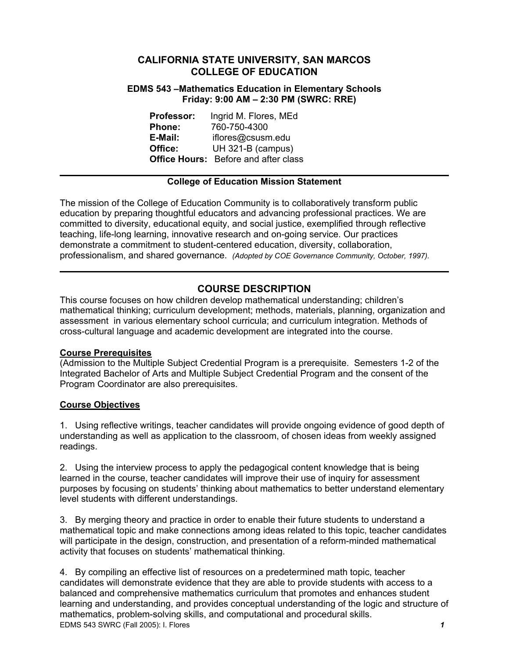## **CALIFORNIA STATE UNIVERSITY, SAN MARCOS COLLEGE OF EDUCATION**

### **EDMS 543 –Mathematics Education in Elementary Schools Friday: 9:00 AM – 2:30 PM (SWRC: RRE)**

**Professor:** Ingrid M. Flores, MEd **Phone:** 760-750-4300 **E-Mail:** iflores@csusm.edu **Office:** UH 321-B (campus) **Office Hours:** Before and after class

### **College of Education Mission Statement**

The mission of the College of Education Community is to collaboratively transform public education by preparing thoughtful educators and advancing professional practices. We are committed to diversity, educational equity, and social justice, exemplified through reflective teaching, life-long learning, innovative research and on-going service. Our practices demonstrate a commitment to student-centered education, diversity, collaboration, professionalism, and shared governance. *(Adopted by COE Governance Community, October, 1997).* 

# **COURSE DESCRIPTION**

This course focuses on how children develop mathematical understanding; children's mathematical thinking; curriculum development; methods, materials, planning, organization and assessment in various elementary school curricula; and curriculum integration. Methods of cross-cultural language and academic development are integrated into the course.

### **Course Prerequisites**

(Admission to the Multiple Subject Credential Program is a prerequisite. Semesters 1-2 of the Integrated Bachelor of Arts and Multiple Subject Credential Program and the consent of the Program Coordinator are also prerequisites.

### **Course Objectives**

1. Using reflective writings, teacher candidates will provide ongoing evidence of good depth of understanding as well as application to the classroom, of chosen ideas from weekly assigned readings.

2. Using the interview process to apply the pedagogical content knowledge that is being learned in the course, teacher candidates will improve their use of inquiry for assessment purposes by focusing on students' thinking about mathematics to better understand elementary level students with different understandings.

3. By merging theory and practice in order to enable their future students to understand a mathematical topic and make connections among ideas related to this topic, teacher candidates will participate in the design, construction, and presentation of a reform-minded mathematical activity that focuses on students' mathematical thinking.

EDMS 543 SWRC (Fall 2005): I. Flores *1* 4. By compiling an effective list of resources on a predetermined math topic, teacher candidates will demonstrate evidence that they are able to provide students with access to a balanced and comprehensive mathematics curriculum that promotes and enhances student learning and understanding, and provides conceptual understanding of the logic and structure of mathematics, problem-solving skills, and computational and procedural skills.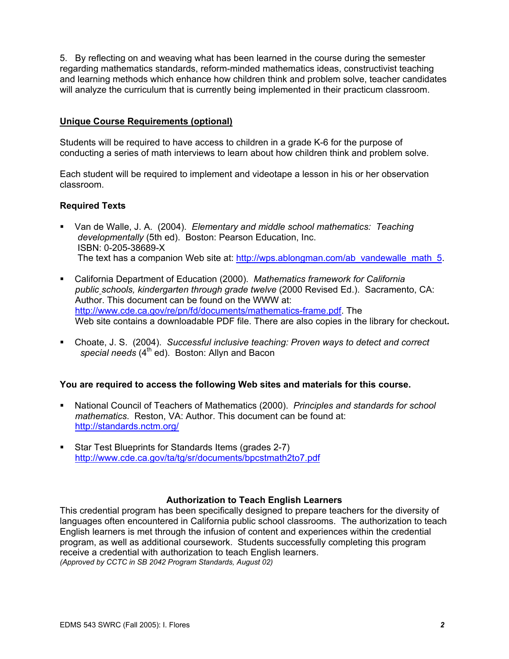5. By reflecting on and weaving what has been learned in the course during the semester regarding mathematics standards, reform-minded mathematics ideas, constructivist teaching and learning methods which enhance how children think and problem solve, teacher candidates will analyze the curriculum that is currently being implemented in their practicum classroom.

### **Unique Course Requirements (optional)**

Students will be required to have access to children in a grade K-6 for the purpose of conducting a series of math interviews to learn about how children think and problem solve.

Each student will be required to implement and videotape a lesson in his or her observation classroom.

### **Required Texts**

- Van de Walle, J. A. (2004). *Elementary and middle school mathematics: Teaching developmentally* (5th ed). Boston: Pearson Education, Inc. ISBN: 0-205-38689-X The text has a companion Web site at: http://wps.ablongman.com/ab\_vandewalle\_math\_5.
- California Department of Education (2000). *Mathematics framework for California public schools, kindergarten through grade twelve* (2000 Revised Ed.). Sacramento, CA: Author. This document can be found on the WWW at: http://www.cde.ca.gov/re/pn/fd/documents/mathematics-frame.pdf. The Web site contains a downloadable PDF file. There are also copies in the library for checkout**.**
- Choate, J. S. (2004). *Successful inclusive teaching: Proven ways to detect and correct*  special needs (4<sup>th</sup> ed). Boston: Allyn and Bacon

### **You are required to access the following Web sites and materials for this course.**

- National Council of Teachers of Mathematics (2000). *Principles and standards for school mathematics*. Reston, VA: Author. This document can be found at: http://standards.nctm.org/
- Star Test Blueprints for Standards Items (grades 2-7) http://www.cde.ca.gov/ta/tg/sr/documents/bpcstmath2to7.pdf

#### **Authorization to Teach English Learners**

This credential program has been specifically designed to prepare teachers for the diversity of languages often encountered in California public school classrooms. The authorization to teach English learners is met through the infusion of content and experiences within the credential program, as well as additional coursework. Students successfully completing this program receive a credential with authorization to teach English learners. *(Approved by CCTC in SB 2042 Program Standards, August 02)*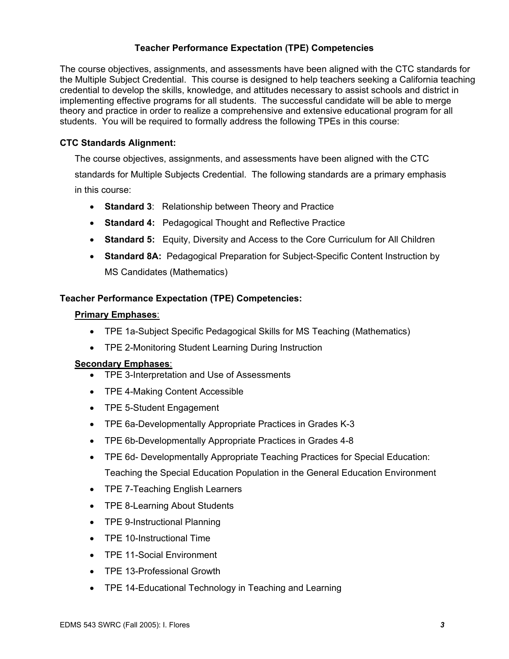## **Teacher Performance Expectation (TPE) Competencies**

The course objectives, assignments, and assessments have been aligned with the CTC standards for the Multiple Subject Credential. This course is designed to help teachers seeking a California teaching credential to develop the skills, knowledge, and attitudes necessary to assist schools and district in implementing effective programs for all students. The successful candidate will be able to merge theory and practice in order to realize a comprehensive and extensive educational program for all students. You will be required to formally address the following TPEs in this course:

### **CTC Standards Alignment:**

The course objectives, assignments, and assessments have been aligned with the CTC standards for Multiple Subjects Credential. The following standards are a primary emphasis in this course:

- **Standard 3**: Relationship between Theory and Practice
- **Standard 4:** Pedagogical Thought and Reflective Practice
- **Standard 5:** Equity, Diversity and Access to the Core Curriculum for All Children
- **Standard 8A:** Pedagogical Preparation for Subject-Specific Content Instruction by MS Candidates (Mathematics)

#### **Teacher Performance Expectation (TPE) Competencies:**

#### **Primary Emphases**:

- TPE 1a-Subject Specific Pedagogical Skills for MS Teaching (Mathematics)
- TPE 2-Monitoring Student Learning During Instruction

#### **Secondary Emphases**:

- TPE 3-Interpretation and Use of Assessments
- TPE 4-Making Content Accessible
- TPE 5-Student Engagement
- TPE 6a-Developmentally Appropriate Practices in Grades K-3
- TPE 6b-Developmentally Appropriate Practices in Grades 4-8
- TPE 6d- Developmentally Appropriate Teaching Practices for Special Education: Teaching the Special Education Population in the General Education Environment
- TPE 7-Teaching English Learners
- TPE 8-Learning About Students
- TPE 9-Instructional Planning
- TPE 10-Instructional Time
- TPE 11-Social Environment
- TPE 13-Professional Growth
- TPE 14-Educational Technology in Teaching and Learning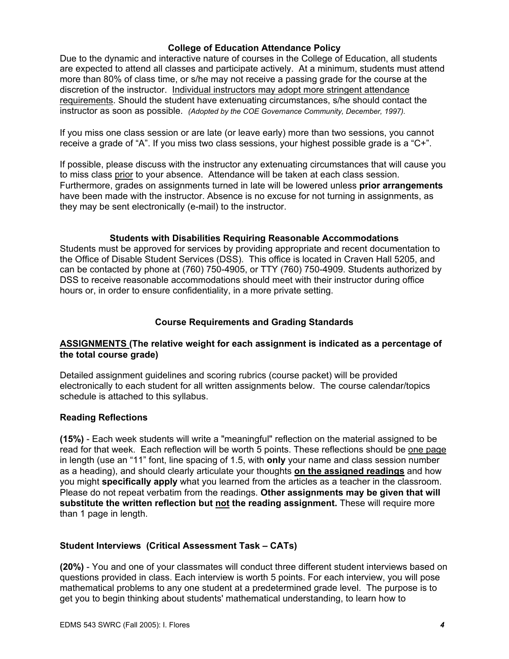### **College of Education Attendance Policy**

Due to the dynamic and interactive nature of courses in the College of Education, all students are expected to attend all classes and participate actively. At a minimum, students must attend more than 80% of class time, or s/he may not receive a passing grade for the course at the discretion of the instructor. Individual instructors may adopt more stringent attendance requirements. Should the student have extenuating circumstances, s/he should contact the instructor as soon as possible. *(Adopted by the COE Governance Community, December, 1997).*

If you miss one class session or are late (or leave early) more than two sessions, you cannot receive a grade of "A". If you miss two class sessions, your highest possible grade is a "C+".

If possible, please discuss with the instructor any extenuating circumstances that will cause you to miss class prior to your absence. Attendance will be taken at each class session. Furthermore, grades on assignments turned in late will be lowered unless **prior arrangements**  have been made with the instructor. Absence is no excuse for not turning in assignments, as they may be sent electronically (e-mail) to the instructor.

## **Students with Disabilities Requiring Reasonable Accommodations**

Students must be approved for services by providing appropriate and recent documentation to the Office of Disable Student Services (DSS). This office is located in Craven Hall 5205, and can be contacted by phone at (760) 750-4905, or TTY (760) 750-4909. Students authorized by DSS to receive reasonable accommodations should meet with their instructor during office hours or, in order to ensure confidentiality, in a more private setting.

### **Course Requirements and Grading Standards**

#### **ASSIGNMENTS (The relative weight for each assignment is indicated as a percentage of the total course grade)**

Detailed assignment guidelines and scoring rubrics (course packet) will be provided electronically to each student for all written assignments below. The course calendar/topics schedule is attached to this syllabus.

#### **Reading Reflections**

**(15%)** - Each week students will write a "meaningful" reflection on the material assigned to be read for that week. Each reflection will be worth 5 points. These reflections should be one page in length (use an "11" font, line spacing of 1.5, with **only** your name and class session number as a heading), and should clearly articulate your thoughts **on the assigned readings** and how you might **specifically apply** what you learned from the articles as a teacher in the classroom. Please do not repeat verbatim from the readings. **Other assignments may be given that will substitute the written reflection but not the reading assignment.** These will require more than 1 page in length.

### **Student Interviews (Critical Assessment Task – CATs)**

**(20%)** - You and one of your classmates will conduct three different student interviews based on questions provided in class. Each interview is worth 5 points. For each interview, you will pose mathematical problems to any one student at a predetermined grade level. The purpose is to get you to begin thinking about students' mathematical understanding, to learn how to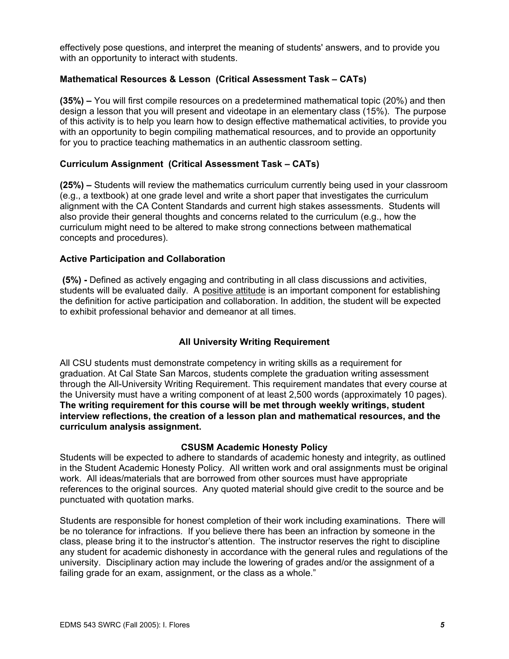effectively pose questions, and interpret the meaning of students' answers, and to provide you with an opportunity to interact with students.

### **Mathematical Resources & Lesson (Critical Assessment Task – CATs)**

**(35%) –** You will first compile resources on a predetermined mathematical topic (20%) and then design a lesson that you will present and videotape in an elementary class (15%). The purpose of this activity is to help you learn how to design effective mathematical activities, to provide you with an opportunity to begin compiling mathematical resources, and to provide an opportunity for you to practice teaching mathematics in an authentic classroom setting.

### **Curriculum Assignment (Critical Assessment Task – CATs)**

**(25%) –** Students will review the mathematics curriculum currently being used in your classroom (e.g., a textbook) at one grade level and write a short paper that investigates the curriculum alignment with the CA Content Standards and current high stakes assessments. Students will also provide their general thoughts and concerns related to the curriculum (e.g., how the curriculum might need to be altered to make strong connections between mathematical concepts and procedures).

#### **Active Participation and Collaboration**

 **(5%) -** Defined as actively engaging and contributing in all class discussions and activities, students will be evaluated daily. A positive attitude is an important component for establishing the definition for active participation and collaboration. In addition, the student will be expected to exhibit professional behavior and demeanor at all times.

### **All University Writing Requirement**

All CSU students must demonstrate competency in writing skills as a requirement for graduation. At Cal State San Marcos, students complete the graduation writing assessment through the All-University Writing Requirement. This requirement mandates that every course at the University must have a writing component of at least 2,500 words (approximately 10 pages). **The writing requirement for this course will be met through weekly writings, student interview reflections, the creation of a lesson plan and mathematical resources, and the curriculum analysis assignment.**

#### **CSUSM Academic Honesty Policy**

Students will be expected to adhere to standards of academic honesty and integrity, as outlined in the Student Academic Honesty Policy. All written work and oral assignments must be original work. All ideas/materials that are borrowed from other sources must have appropriate references to the original sources. Any quoted material should give credit to the source and be punctuated with quotation marks.

Students are responsible for honest completion of their work including examinations. There will be no tolerance for infractions. If you believe there has been an infraction by someone in the class, please bring it to the instructor's attention. The instructor reserves the right to discipline any student for academic dishonesty in accordance with the general rules and regulations of the university. Disciplinary action may include the lowering of grades and/or the assignment of a failing grade for an exam, assignment, or the class as a whole."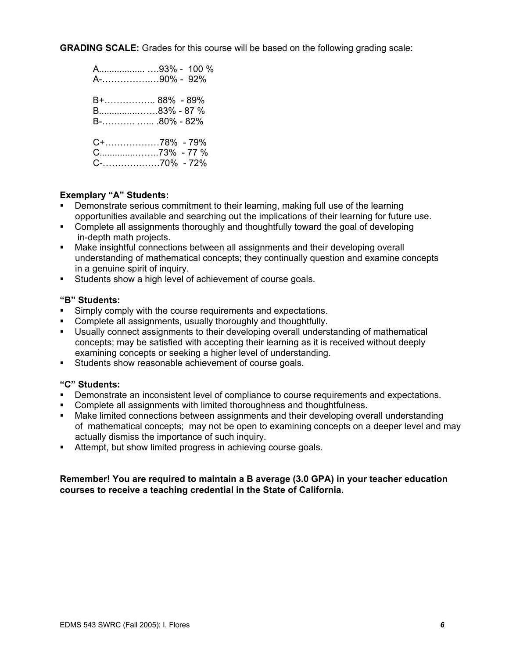**GRADING SCALE:** Grades for this course will be based on the following grading scale:

| A93% - 100 %<br>A-90% - 92%                   |
|-----------------------------------------------|
| B+ 88% - 89%<br>B83% - 87 %<br>$B$ -80% - 82% |
| $C+$ 78% - 79%<br>C73% - 77 %                 |

#### **Exemplary "A" Students:**

- Demonstrate serious commitment to their learning, making full use of the learning opportunities available and searching out the implications of their learning for future use.
- **Complete all assignments thoroughly and thoughtfully toward the goal of developing** in-depth math projects.
- Make insightful connections between all assignments and their developing overall understanding of mathematical concepts; they continually question and examine concepts in a genuine spirit of inquiry.
- **Students show a high level of achievement of course goals.**

#### **"B" Students:**

- **Simply comply with the course requirements and expectations.**
- Complete all assignments, usually thoroughly and thoughtfully.
- Usually connect assignments to their developing overall understanding of mathematical concepts; may be satisfied with accepting their learning as it is received without deeply examining concepts or seeking a higher level of understanding.
- Students show reasonable achievement of course goals.

#### **"C" Students:**

- Demonstrate an inconsistent level of compliance to course requirements and expectations.
- Complete all assignments with limited thoroughness and thoughtfulness.
- Make limited connections between assignments and their developing overall understanding of mathematical concepts; may not be open to examining concepts on a deeper level and may actually dismiss the importance of such inquiry.
- Attempt, but show limited progress in achieving course goals.

#### **Remember! You are required to maintain a B average (3.0 GPA) in your teacher education courses to receive a teaching credential in the State of California.**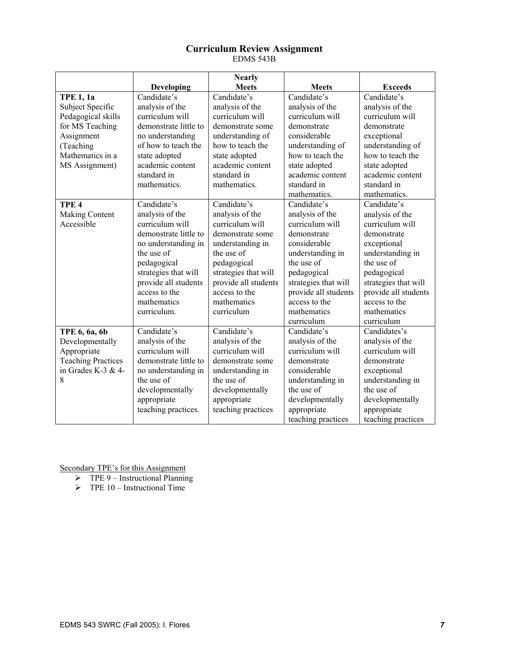#### **Curriculum Review Assignment**  EDMS 543B

|                           |                       | <b>Nearly</b>        |                      |                      |
|---------------------------|-----------------------|----------------------|----------------------|----------------------|
|                           | <b>Developing</b>     | <b>Meets</b>         | <b>Meets</b>         | <b>Exceeds</b>       |
| <b>TPE 1, 1a</b>          | Candidate's           | Candidate's          | Candidate's          | Candidate's          |
| Subject Specific          | analysis of the       | analysis of the      | analysis of the      | analysis of the      |
| Pedagogical skills        | curriculum will       | curriculum will      | curriculum will      | curriculum will      |
| for MS Teaching           | demonstrate little to | demonstrate some     | demonstrate          | demonstrate          |
| Assignment                | no understanding      | understanding of     | considerable         | exceptional          |
| (Teaching                 | of how to teach the   | how to teach the     | understanding of     | understanding of     |
| Mathematics in a          | state adopted         | state adopted        | how to teach the     | how to teach the     |
| MS Assignment)            | academic content      | academic content     | state adopted        | state adopted        |
|                           | standard in           | standard in          | academic content     | academic content     |
|                           | mathematics.          | mathematics.         | standard in          | standard in          |
|                           |                       |                      | mathematics.         | mathematics.         |
| TPE <sub>4</sub>          | Candidate's           | Candidate's          | Candidate's          | Candidate's          |
| <b>Making Content</b>     | analysis of the       | analysis of the      | analysis of the      | analysis of the      |
| Accessible                | curriculum will       | curriculum will      | curriculum will      | curriculum will      |
|                           | demonstrate little to | demonstrate some     | demonstrate          | demonstrate          |
|                           | no understanding in   | understanding in     | considerable         | exceptional          |
|                           | the use of            | the use of           | understanding in     | understanding in     |
|                           | pedagogical           | pedagogical          | the use of           | the use of           |
|                           | strategies that will  | strategies that will | pedagogical          | pedagogical          |
|                           | provide all students  | provide all students | strategies that will | strategies that will |
|                           | access to the         | access to the        | provide all students | provide all students |
|                           | mathematics           | mathematics          | access to the        | access to the        |
|                           | curriculum.           | curriculum           | mathematics          | mathematics          |
|                           |                       |                      | curriculum           | curriculum           |
| TPE 6, 6a, 6b             | Candidate's           | Candidate's          | Candidate's          | Candidates's         |
| Developmentally           | analysis of the       | analysis of the      | analysis of the      | analysis of the      |
| Appropriate               | curriculum will       | curriculum will      | curriculum will      | curriculum will      |
| <b>Teaching Practices</b> | demonstrate little to | demonstrate some     | demonstrate          | demonstrate          |
| in Grades K-3 & 4-        | no understanding in   | understanding in     | considerable         | exceptional          |
| 8                         | the use of            | the use of           | understanding in     | understanding in     |
|                           | developmentally       | developmentally      | the use of           | the use of           |
|                           | appropriate           | appropriate          | developmentally      | developmentally      |
|                           | teaching practices.   | teaching practices   | appropriate          | appropriate          |
|                           |                       |                      | teaching practices   | teaching practices   |

- $\triangleright$  TPE 9 Instructional Planning
- $\triangleright$  TPE 10 Instructional Time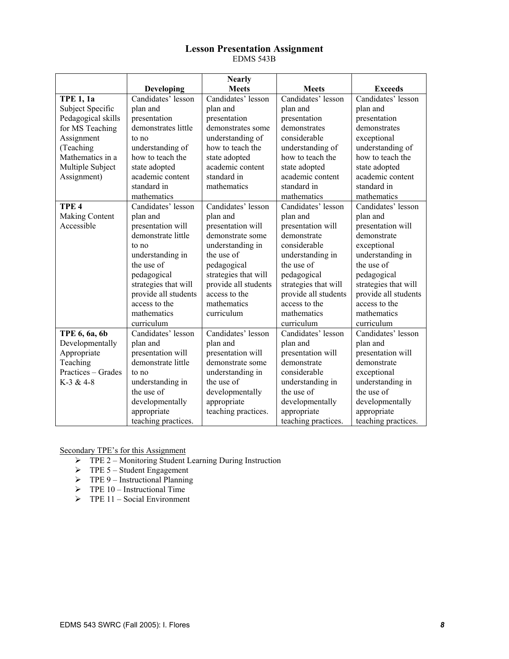#### **Lesson Presentation Assignment**  EDMS 543B

|                    |                      | <b>Nearly</b>        |                      |                      |
|--------------------|----------------------|----------------------|----------------------|----------------------|
|                    | <b>Developing</b>    | <b>Meets</b>         | <b>Meets</b>         | <b>Exceeds</b>       |
| <b>TPE 1, 1a</b>   | Candidates' lesson   | Candidates' lesson   | Candidates' lesson   | Candidates' lesson   |
| Subject Specific   | plan and             | plan and             | plan and             | plan and             |
| Pedagogical skills | presentation         | presentation         | presentation         | presentation         |
| for MS Teaching    | demonstrates little  | demonstrates some    | demonstrates         | demonstrates         |
| Assignment         | to no                | understanding of     | considerable         | exceptional          |
| (Teaching          | understanding of     | how to teach the     | understanding of     | understanding of     |
| Mathematics in a   | how to teach the     | state adopted        | how to teach the     | how to teach the     |
| Multiple Subject   | state adopted        | academic content     | state adopted        | state adopted        |
| Assignment)        | academic content     | standard in          | academic content     | academic content     |
|                    | standard in          | mathematics          | standard in          | standard in          |
|                    | mathematics          |                      | mathematics          | mathematics          |
| TPE <sub>4</sub>   | Candidates' lesson   | Candidates' lesson   | Candidates' lesson   | Candidates' lesson   |
| Making Content     | plan and             | plan and             | plan and             | plan and             |
| Accessible         | presentation will    | presentation will    | presentation will    | presentation will    |
|                    | demonstrate little   | demonstrate some     | demonstrate          | demonstrate          |
|                    | to no                | understanding in     | considerable         | exceptional          |
|                    | understanding in     | the use of           | understanding in     | understanding in     |
|                    | the use of           | pedagogical          | the use of           | the use of           |
|                    | pedagogical          | strategies that will | pedagogical          | pedagogical          |
|                    | strategies that will | provide all students | strategies that will | strategies that will |
|                    | provide all students | access to the        | provide all students | provide all students |
|                    | access to the        | mathematics          | access to the        | access to the        |
|                    | mathematics          | curriculum           | mathematics          | mathematics          |
|                    | curriculum           |                      | curriculum           | curriculum           |
| TPE 6, 6a, 6b      | Candidates' lesson   | Candidates' lesson   | Candidates' lesson   | Candidates' lesson   |
| Developmentally    | plan and             | plan and             | plan and             | plan and             |
| Appropriate        | presentation will    | presentation will    | presentation will    | presentation will    |
| Teaching           | demonstrate little   | demonstrate some     | demonstrate          | demonstrate          |
| Practices - Grades | to no                | understanding in     | considerable         | exceptional          |
| $K-3 & 4-8$        | understanding in     | the use of           | understanding in     | understanding in     |
|                    | the use of           | developmentally      | the use of           | the use of           |
|                    | developmentally      | appropriate          | developmentally      | developmentally      |
|                    | appropriate          | teaching practices.  | appropriate          | appropriate          |
|                    | teaching practices.  |                      | teaching practices.  | teaching practices.  |

- ¾ TPE 2 Monitoring Student Learning During Instruction
- $\triangleright$  TPE 5 Student Engagement
- $\triangleright$  TPE 9 Instructional Planning
- $\triangleright$  TPE 10 Instructional Time
- $\triangleright$  TPE 11 Social Environment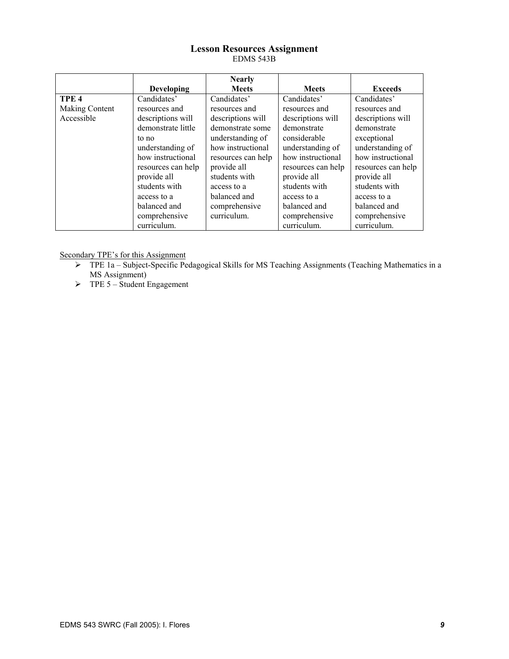#### **Lesson Resources Assignment**  EDMS 543B

|                  |                    | <b>Nearly</b>      |                    |                    |
|------------------|--------------------|--------------------|--------------------|--------------------|
|                  | Developing         | <b>Meets</b>       | <b>Meets</b>       | <b>Exceeds</b>     |
| TPE <sub>4</sub> | Candidates'        | Candidates'        | Candidates'        | Candidates'        |
| Making Content   | resources and      | resources and      | resources and      | resources and      |
| Accessible       | descriptions will  | descriptions will  | descriptions will  | descriptions will  |
|                  | demonstrate little | demonstrate some   | demonstrate        | demonstrate        |
|                  | to no              | understanding of   | considerable       | exceptional        |
|                  | understanding of   | how instructional  | understanding of   | understanding of   |
|                  | how instructional  | resources can help | how instructional  | how instructional  |
|                  | resources can help | provide all        | resources can help | resources can help |
|                  | provide all        | students with      | provide all        | provide all        |
|                  | students with      | access to a        | students with      | students with      |
|                  | access to a        | balanced and       | access to a        | access to a        |
|                  | balanced and       | comprehensive      | balanced and       | balanced and       |
|                  | comprehensive      | curriculum.        | comprehensive      | comprehensive      |
|                  | curriculum.        |                    | curriculum.        | curriculum.        |

- ¾ TPE 1a Subject-Specific Pedagogical Skills for MS Teaching Assignments (Teaching Mathematics in a MS Assignment)
- $\triangleright$  TPE 5 Student Engagement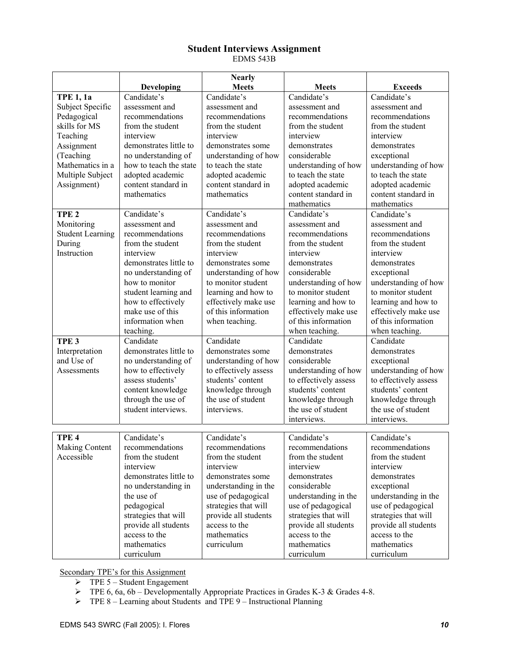#### **Student Interviews Assignment**  EDMS 543B

|                         |                        | <b>Nearly</b>         |                       |                       |
|-------------------------|------------------------|-----------------------|-----------------------|-----------------------|
|                         | <b>Developing</b>      | <b>Meets</b>          | <b>Meets</b>          | <b>Exceeds</b>        |
| <b>TPE 1, 1a</b>        | Candidate's            | Candidate's           | Candidate's           | Candidate's           |
| Subject Specific        | assessment and         | assessment and        | assessment and        | assessment and        |
| Pedagogical             | recommendations        | recommendations       | recommendations       | recommendations       |
| skills for MS           | from the student       | from the student      | from the student      | from the student      |
| Teaching                | interview              | interview             | interview             | interview             |
| Assignment              | demonstrates little to | demonstrates some     | demonstrates          | demonstrates          |
| (Teaching               | no understanding of    | understanding of how  | considerable          | exceptional           |
| Mathematics in a        | how to teach the state | to teach the state    | understanding of how  | understanding of how  |
| Multiple Subject        | adopted academic       | adopted academic      | to teach the state    | to teach the state    |
| Assignment)             | content standard in    | content standard in   | adopted academic      | adopted academic      |
|                         | mathematics            | mathematics           | content standard in   | content standard in   |
|                         |                        |                       | mathematics           | mathematics           |
| TPE <sub>2</sub>        | Candidate's            | Candidate's           | Candidate's           | Candidate's           |
| Monitoring              | assessment and         | assessment and        | assessment and        | assessment and        |
| <b>Student Learning</b> | recommendations        | recommendations       | recommendations       | recommendations       |
| During                  | from the student       | from the student      | from the student      | from the student      |
| Instruction             | interview              | interview             | interview             | interview             |
|                         | demonstrates little to | demonstrates some     | demonstrates          | demonstrates          |
|                         | no understanding of    | understanding of how  | considerable          | exceptional           |
|                         | how to monitor         | to monitor student    | understanding of how  | understanding of how  |
|                         | student learning and   | learning and how to   | to monitor student    | to monitor student    |
|                         | how to effectively     | effectively make use  | learning and how to   | learning and how to   |
|                         | make use of this       | of this information   | effectively make use  | effectively make use  |
|                         | information when       | when teaching.        | of this information   | of this information   |
|                         | teaching.              |                       | when teaching.        | when teaching.        |
| TPE <sub>3</sub>        | Candidate              | Candidate             | Candidate             | Candidate             |
| Interpretation          | demonstrates little to | demonstrates some     | demonstrates          | demonstrates          |
| and Use of              | no understanding of    | understanding of how  | considerable          | exceptional           |
| Assessments             | how to effectively     | to effectively assess | understanding of how  | understanding of how  |
|                         | assess students'       | students' content     | to effectively assess | to effectively assess |
|                         | content knowledge      | knowledge through     | students' content     | students' content     |
|                         | through the use of     | the use of student    | knowledge through     | knowledge through     |
|                         | student interviews.    | interviews.           | the use of student    | the use of student    |
|                         |                        |                       | interviews.           | interviews.           |
|                         |                        |                       |                       |                       |
| TPE <sub>4</sub>        | Candidate's            | Candidate's           | Candidate's           | Candidate's           |
| Making Content          | recommendations        | recommendations       | recommendations       | recommendations       |
| Accessible              | from the student       | from the student      | from the student      | from the student      |
|                         | interview              | interview             | interview             | interview             |
|                         | demonstrates little to | demonstrates some     | demonstrates          | demonstrates          |
|                         | no understanding in    | understanding in the  | considerable          | exceptional           |
|                         | the use of             | use of pedagogical    | understanding in the  | understanding in the  |
|                         | pedagogical            | strategies that will  | use of pedagogical    | use of pedagogical    |
|                         | strategies that will   | provide all students  | strategies that will  | strategies that will  |
|                         | provide all students   | access to the         | provide all students  | provide all students  |
|                         | access to the          | mathematics           | access to the         | access to the         |
|                         | mathematics            | curriculum            | mathematics           | mathematics           |
|                         | curriculum             |                       | curriculum            | curriculum            |

- $\triangleright$  TPE 5 Student Engagement
- $\triangleright$  TPE 6, 6a, 6b Developmentally Appropriate Practices in Grades K-3 & Grades 4-8.
- $\triangleright$  TPE 8 Learning about Students and TPE 9 Instructional Planning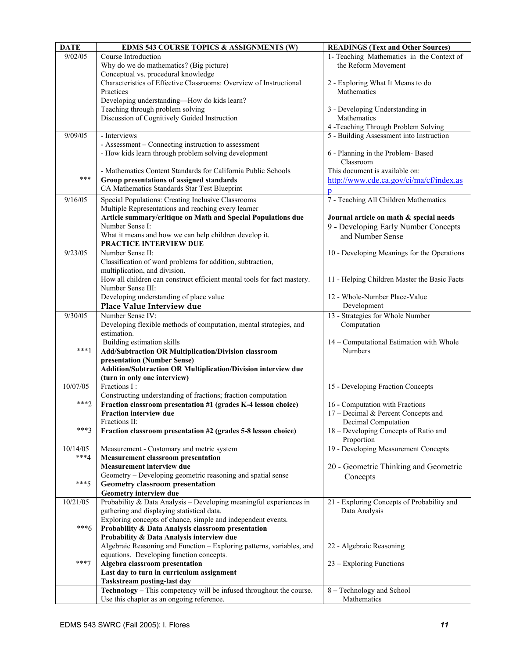| <b>DATE</b> | <b>EDMS 543 COURSE TOPICS &amp; ASSIGNMENTS (W)</b>                                           | <b>READINGS (Text and Other Sources)</b>     |
|-------------|-----------------------------------------------------------------------------------------------|----------------------------------------------|
| 9/02/05     | Course Introduction                                                                           | 1- Teaching Mathematics in the Context of    |
|             | Why do we do mathematics? (Big picture)                                                       | the Reform Movement                          |
|             | Conceptual vs. procedural knowledge                                                           |                                              |
|             | Characteristics of Effective Classrooms: Overview of Instructional                            | 2 - Exploring What It Means to do            |
|             | Practices                                                                                     | Mathematics                                  |
|             | Developing understanding-How do kids learn?                                                   |                                              |
|             | Teaching through problem solving                                                              | 3 - Developing Understanding in              |
|             | Discussion of Cognitively Guided Instruction                                                  | Mathematics                                  |
|             |                                                                                               | 4 -Teaching Through Problem Solving          |
| 9/09/05     | - Interviews                                                                                  | 5 - Building Assessment into Instruction     |
|             | - Assessment – Connecting instruction to assessment                                           |                                              |
|             | - How kids learn through problem solving development                                          | 6 - Planning in the Problem-Based            |
|             |                                                                                               | Classroom                                    |
|             | - Mathematics Content Standards for California Public Schools                                 | This document is available on:               |
| $***$       | Group presentations of assigned standards                                                     | http://www.cde.ca.gov/ci/ma/cf/index.as      |
|             | CA Mathematics Standards Star Test Blueprint                                                  | $\mathbf{D}$                                 |
| 9/16/05     | Special Populations: Creating Inclusive Classrooms                                            | 7 - Teaching All Children Mathematics        |
|             | Multiple Representations and reaching every learner                                           |                                              |
|             | Article summary/critique on Math and Special Populations due                                  | Journal article on math & special needs      |
|             | Number Sense I:                                                                               | 9 - Developing Early Number Concepts         |
|             | What it means and how we can help children develop it.                                        | and Number Sense                             |
|             | PRACTICE INTERVIEW DUE                                                                        |                                              |
| 9/23/05     | Number Sense II:                                                                              | 10 - Developing Meanings for the Operations  |
|             | Classification of word problems for addition, subtraction,                                    |                                              |
|             | multiplication, and division.                                                                 |                                              |
|             | How all children can construct efficient mental tools for fact mastery.                       | 11 - Helping Children Master the Basic Facts |
|             | Number Sense III:                                                                             |                                              |
|             | Developing understanding of place value                                                       | 12 - Whole-Number Place-Value                |
|             | Place Value Interview due                                                                     | Development                                  |
| 9/30/05     | Number Sense IV:                                                                              | 13 - Strategies for Whole Number             |
|             | Developing flexible methods of computation, mental strategies, and                            | Computation                                  |
|             | estimation.                                                                                   |                                              |
|             | Building estimation skills                                                                    | 14 - Computational Estimation with Whole     |
| $***1$      | Add/Subtraction OR Multiplication/Division classroom                                          | Numbers                                      |
|             | presentation (Number Sense)                                                                   |                                              |
|             | Addition/Subtraction OR Multiplication/Division interview due<br>(turn in only one interview) |                                              |
| 10/07/05    | Fractions I:                                                                                  | 15 - Developing Fraction Concepts            |
|             | Constructing understanding of fractions; fraction computation                                 |                                              |
| $***2$      | Fraction classroom presentation #1 (grades K-4 lesson choice)                                 | 16 - Computation with Fractions              |
|             | <b>Fraction interview due</b>                                                                 | 17 – Decimal & Percent Concepts and          |
|             | Fractions II:                                                                                 | Decimal Computation                          |
| $***3$      | Fraction classroom presentation #2 (grades 5-8 lesson choice)                                 | 18 - Developing Concepts of Ratio and        |
|             |                                                                                               | Proportion                                   |
| 10/14/05    | Measurement - Customary and metric system                                                     | 19 - Developing Measurement Concepts         |
| $***4$      | <b>Measurement classroom presentation</b>                                                     |                                              |
|             | <b>Measurement interview due</b>                                                              | 20 - Geometric Thinking and Geometric        |
|             | Geometry - Developing geometric reasoning and spatial sense                                   | Concepts                                     |
| $***5$      | Geometry classroom presentation                                                               |                                              |
|             | Geometry interview due                                                                        |                                              |
| 10/21/05    | Probability & Data Analysis - Developing meaningful experiences in                            | 21 - Exploring Concepts of Probability and   |
|             | gathering and displaying statistical data.                                                    | Data Analysis                                |
|             | Exploring concepts of chance, simple and independent events.                                  |                                              |
| $***6$      | Probability & Data Analysis classroom presentation                                            |                                              |
|             | Probability & Data Analysis interview due                                                     |                                              |
|             | Algebraic Reasoning and Function - Exploring patterns, variables, and                         | 22 - Algebraic Reasoning                     |
|             | equations. Developing function concepts.                                                      |                                              |
| $***7$      | Algebra classroom presentation                                                                | 23 – Exploring Functions                     |
|             | Last day to turn in curriculum assignment                                                     |                                              |
|             | <b>Taskstream posting-last day</b>                                                            |                                              |
|             | Technology - This competency will be infused throughout the course.                           | 8 - Technology and School                    |
|             | Use this chapter as an ongoing reference.                                                     | Mathematics                                  |